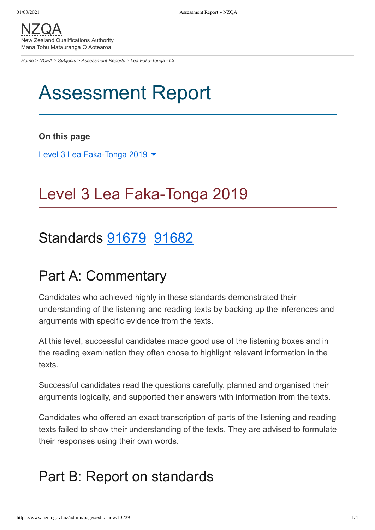[NZQA](https://www.nzqa.govt.nz/) New Zealand Qualifications Authority Mana Tohu Matauranga O Aotearoa

*[Home](https://www.nzqa.govt.nz/home) > [NCEA](https://www.nzqa.govt.nz/ncea/?stage=Stage) > [Subjects](https://www.nzqa.govt.nz/ncea/subjects/?stage=Stage) > [Assessment Reports](https://www.nzqa.govt.nz/ncea/subjects/assessment-reports/?stage=Stage) > Lea Faka-Tonga - L3*

# Assessment Report

#### **On this page**

Level 3 Lea [Faka-Tonga](https://www.nzqa.govt.nz/ncea/subjects/assessment-reports/tongan-l3/?stage=Stage&CMSPreview=1#heading2-0) 2019 ▼

# Level 3 Lea Faka-Tonga 2019

## Standards [91679](https://www.nzqa.govt.nz/ncea/subjects/assessment-reports/tongan-l3/?stage=Stage&CMSPreview=1#91679) [91682](https://www.nzqa.govt.nz/ncea/subjects/assessment-reports/tongan-l3/?stage=Stage&CMSPreview=1#91682)

### Part A: Commentary

Candidates who achieved highly in these standards demonstrated their understanding of the listening and reading texts by backing up the inferences and arguments with specific evidence from the texts.

At this level, successful candidates made good use of the listening boxes and in the reading examination they often chose to highlight relevant information in the texts.

Successful candidates read the questions carefully, planned and organised their arguments logically, and supported their answers with information from the texts.

Candidates who offered an exact transcription of parts of the listening and reading texts failed to show their understanding of the texts. They are advised to formulate their responses using their own words.

### Part B: Report on standards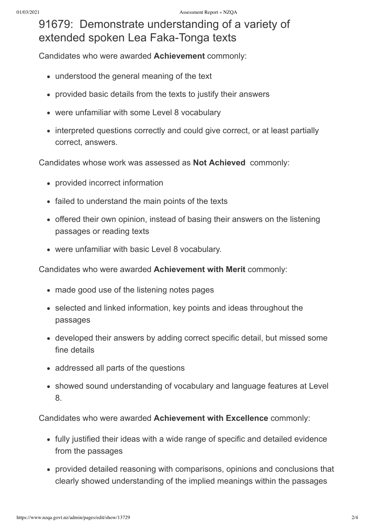### 91679: Demonstrate understanding of a variety of extended spoken Lea Faka-Tonga texts

Candidates who were awarded **Achievement** commonly:

- understood the general meaning of the text
- provided basic details from the texts to justify their answers
- were unfamiliar with some Level 8 vocabulary
- interpreted questions correctly and could give correct, or at least partially correct, answers.

Candidates whose work was assessed as **Not Achieved** commonly:

- provided incorrect information
- failed to understand the main points of the texts
- offered their own opinion, instead of basing their answers on the listening passages or reading texts
- were unfamiliar with basic Level 8 vocabulary.

Candidates who were awarded **Achievement with Merit** commonly:

- made good use of the listening notes pages
- selected and linked information, key points and ideas throughout the passages
- developed their answers by adding correct specific detail, but missed some fine details
- addressed all parts of the questions
- showed sound understanding of vocabulary and language features at Level 8.

Candidates who were awarded **Achievement with Excellence** commonly:

- fully justified their ideas with a wide range of specific and detailed evidence from the passages
- provided detailed reasoning with comparisons, opinions and conclusions that clearly showed understanding of the implied meanings within the passages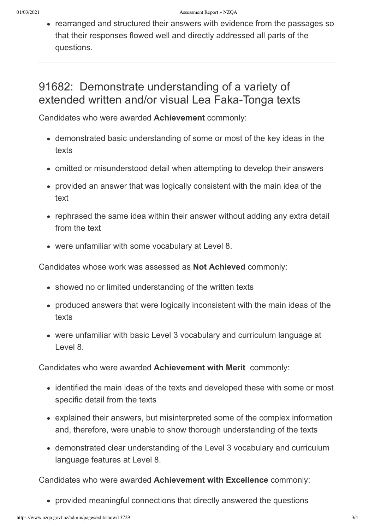• rearranged and structured their answers with evidence from the passages so that their responses flowed well and directly addressed all parts of the questions.

### 91682: Demonstrate understanding of a variety of extended written and/or visual Lea Faka-Tonga texts

Candidates who were awarded **Achievement** commonly:

- demonstrated basic understanding of some or most of the key ideas in the texts
- omitted or misunderstood detail when attempting to develop their answers
- provided an answer that was logically consistent with the main idea of the text
- rephrased the same idea within their answer without adding any extra detail from the text
- were unfamiliar with some vocabulary at Level 8.

Candidates whose work was assessed as **Not Achieved** commonly:

- showed no or limited understanding of the written texts
- produced answers that were logically inconsistent with the main ideas of the texts
- were unfamiliar with basic Level 3 vocabulary and curriculum language at Level 8.

Candidates who were awarded **Achievement with Merit** commonly:

- identified the main ideas of the texts and developed these with some or most specific detail from the texts
- explained their answers, but misinterpreted some of the complex information and, therefore, were unable to show thorough understanding of the texts
- demonstrated clear understanding of the Level 3 vocabulary and curriculum language features at Level 8.

Candidates who were awarded **Achievement with Excellence** commonly:

provided meaningful connections that directly answered the questions